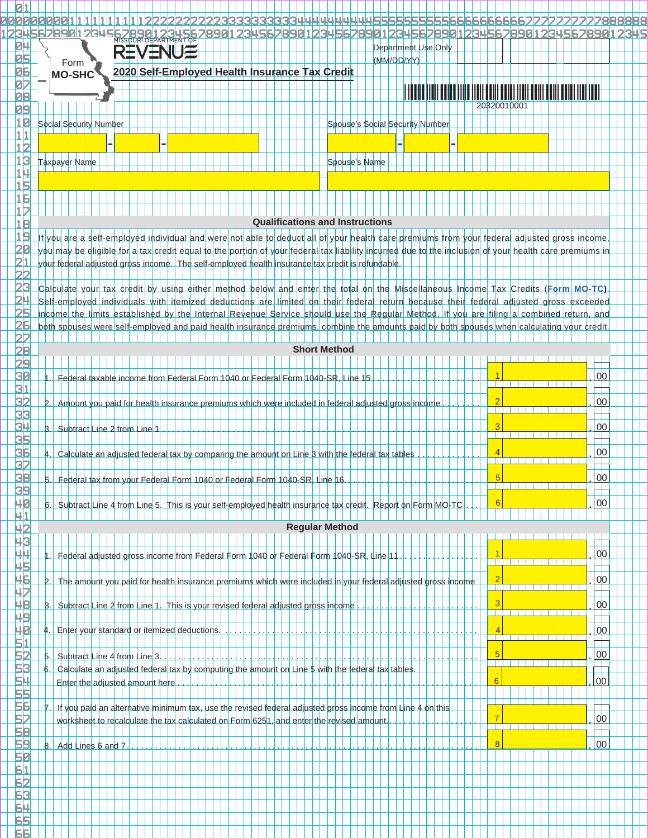|                                   | 3456789012345<br>901234567890123456789012345678901<br>MSSOURI DEPARTMENT OF<br>8901234562                                                                                                                                                                 |                |  |  |  |  |  |  |  |  |  |  |  |  |
|-----------------------------------|-----------------------------------------------------------------------------------------------------------------------------------------------------------------------------------------------------------------------------------------------------------|----------------|--|--|--|--|--|--|--|--|--|--|--|--|
| <b>ПЦ</b>                         | <b>REVENUE</b><br>Department Use Only                                                                                                                                                                                                                     |                |  |  |  |  |  |  |  |  |  |  |  |  |
| nг                                | (MM/DD/YY)<br>Form                                                                                                                                                                                                                                        |                |  |  |  |  |  |  |  |  |  |  |  |  |
| 06                                | 2020 Self-Employed Health Insurance Tax Credit<br><b>MO-SHC</b>                                                                                                                                                                                           |                |  |  |  |  |  |  |  |  |  |  |  |  |
| 07<br>88                          |                                                                                                                                                                                                                                                           |                |  |  |  |  |  |  |  |  |  |  |  |  |
| 09                                | 20320010001                                                                                                                                                                                                                                               |                |  |  |  |  |  |  |  |  |  |  |  |  |
| 10                                | Social Security Number<br>Spouse's Social Security Number                                                                                                                                                                                                 |                |  |  |  |  |  |  |  |  |  |  |  |  |
| 1 1                               |                                                                                                                                                                                                                                                           |                |  |  |  |  |  |  |  |  |  |  |  |  |
| $1\overline{2}$                   |                                                                                                                                                                                                                                                           |                |  |  |  |  |  |  |  |  |  |  |  |  |
| $1\vert 3$                        | <b>Taxpayer Name</b><br>Spouse's Name                                                                                                                                                                                                                     |                |  |  |  |  |  |  |  |  |  |  |  |  |
|                                   |                                                                                                                                                                                                                                                           |                |  |  |  |  |  |  |  |  |  |  |  |  |
| <u> 15</u>                        |                                                                                                                                                                                                                                                           |                |  |  |  |  |  |  |  |  |  |  |  |  |
| 16                                |                                                                                                                                                                                                                                                           |                |  |  |  |  |  |  |  |  |  |  |  |  |
| 117                               | <b>Qualifications and Instructions</b>                                                                                                                                                                                                                    |                |  |  |  |  |  |  |  |  |  |  |  |  |
| 18<br>1 q                         |                                                                                                                                                                                                                                                           |                |  |  |  |  |  |  |  |  |  |  |  |  |
|                                   | If you are a self-employed individual and were not able to deduct all of your health care premiums from your federal adjusted gross income                                                                                                                |                |  |  |  |  |  |  |  |  |  |  |  |  |
| 21                                | you may be eligible for a tax credit equal to the portion of your federal tax liability incurred due to the inclusion of your health care premiums in<br>your federal adjusted gross income. The self-employed health insurance tax credit is refundable. |                |  |  |  |  |  |  |  |  |  |  |  |  |
|                                   |                                                                                                                                                                                                                                                           |                |  |  |  |  |  |  |  |  |  |  |  |  |
|                                   | Calculate your tax credit by using either method below and enter the total on the Miscellaneous Income Tax Credits (Form MO-TC)                                                                                                                           |                |  |  |  |  |  |  |  |  |  |  |  |  |
|                                   | Self-employed individuals with itemized deductions are limited on their federal return because their federal adjusted gross exceeded                                                                                                                      |                |  |  |  |  |  |  |  |  |  |  |  |  |
| フロ                                | income the limits established by the Internal Revenue Service should use the Regular Method. If you are filing a combined return, and                                                                                                                     |                |  |  |  |  |  |  |  |  |  |  |  |  |
|                                   | both spouses were self-employed and paid health insurance premiums, combine the amounts paid by both spouses when calculating your credit                                                                                                                 |                |  |  |  |  |  |  |  |  |  |  |  |  |
|                                   | <b>Short Method</b>                                                                                                                                                                                                                                       |                |  |  |  |  |  |  |  |  |  |  |  |  |
| 29                                |                                                                                                                                                                                                                                                           |                |  |  |  |  |  |  |  |  |  |  |  |  |
| 30                                |                                                                                                                                                                                                                                                           | 0 <sup>0</sup> |  |  |  |  |  |  |  |  |  |  |  |  |
| $\overline{\textbf{3}}\textbf{1}$ | Federal taxable income from Federal Form 1040 or Federal Form 1040-SR, Line 15                                                                                                                                                                            |                |  |  |  |  |  |  |  |  |  |  |  |  |
| 32                                | $\overline{2}$ .<br>Amount you paid for health insurance premiums which were included in federal adjusted gross income                                                                                                                                    | 0 <sup>0</sup> |  |  |  |  |  |  |  |  |  |  |  |  |
| 33                                |                                                                                                                                                                                                                                                           |                |  |  |  |  |  |  |  |  |  |  |  |  |
| 34                                | 3.1<br>Subtract Line 2 from Line 1                                                                                                                                                                                                                        | 0 <sup>0</sup> |  |  |  |  |  |  |  |  |  |  |  |  |
| 35                                |                                                                                                                                                                                                                                                           |                |  |  |  |  |  |  |  |  |  |  |  |  |
| 36                                | Calculate an adjusted federal tax by comparing the amount on Line 3 with the federal tax tables                                                                                                                                                           | 0 <sup>0</sup> |  |  |  |  |  |  |  |  |  |  |  |  |
|                                   |                                                                                                                                                                                                                                                           |                |  |  |  |  |  |  |  |  |  |  |  |  |
| 38<br>39                          | $\sqrt{5}$<br>5. Federal tax from your Federal Form 1040 or Federal Form 1040-SR, Line 16.<br>.                                                                                                                                                           | <u>00</u>      |  |  |  |  |  |  |  |  |  |  |  |  |
| 40                                | 6                                                                                                                                                                                                                                                         | 0 <sup>0</sup> |  |  |  |  |  |  |  |  |  |  |  |  |
| 41                                | 6. Subtract Line 4 from Line 5. This is your self-employed health insurance tax credit. Report on Form MO-TC                                                                                                                                              |                |  |  |  |  |  |  |  |  |  |  |  |  |
| 42                                | <b>Regular Method</b>                                                                                                                                                                                                                                     |                |  |  |  |  |  |  |  |  |  |  |  |  |
| 43                                |                                                                                                                                                                                                                                                           |                |  |  |  |  |  |  |  |  |  |  |  |  |
| 44                                | -1<br>Federal adjusted gross income from Federal Form 1040 or Federal Form 1040-SR, Line 11                                                                                                                                                               | 0 <sup>0</sup> |  |  |  |  |  |  |  |  |  |  |  |  |
| 45                                |                                                                                                                                                                                                                                                           |                |  |  |  |  |  |  |  |  |  |  |  |  |
| 46                                | $\overline{2}$<br>$\mathbf{2}$<br>The amount you paid for health insurance premiums which were included in your federal adjusted gross income                                                                                                             | 0 <sup>0</sup> |  |  |  |  |  |  |  |  |  |  |  |  |
| 42                                | 3                                                                                                                                                                                                                                                         |                |  |  |  |  |  |  |  |  |  |  |  |  |
| 48<br>49                          | $\mathbf{3}$ .<br>Subtract Line 2 from Line 1. This is your revised federal adjusted gross income                                                                                                                                                         | 0 <sup>0</sup> |  |  |  |  |  |  |  |  |  |  |  |  |
| 40                                | $\overline{4}$ .<br>Enter your standard or itemized deductions.                                                                                                                                                                                           | 0 <sup>0</sup> |  |  |  |  |  |  |  |  |  |  |  |  |
| 51                                | 1 - 1 - 1 - 1 - 1 - 1 - 1 - 1                                                                                                                                                                                                                             |                |  |  |  |  |  |  |  |  |  |  |  |  |
| 52                                | 5<br>5.<br>Subtract Line 4 from Line 3.                                                                                                                                                                                                                   | 00             |  |  |  |  |  |  |  |  |  |  |  |  |
| 53                                | 6.1<br>Calculate an adjusted federal tax by computing the amount on Line 5 with the federal tax tables.                                                                                                                                                   |                |  |  |  |  |  |  |  |  |  |  |  |  |
| 54                                | $6\overline{6}$<br>Enter the adjusted amount here                                                                                                                                                                                                         | 00             |  |  |  |  |  |  |  |  |  |  |  |  |
| 55,                               |                                                                                                                                                                                                                                                           |                |  |  |  |  |  |  |  |  |  |  |  |  |
| 56                                | 7.I<br>If you paid an alternative minimum tax, use the revised federal adjusted gross income from Line 4 on this                                                                                                                                          |                |  |  |  |  |  |  |  |  |  |  |  |  |
| 52                                | 7<br>worksheet to recalculate the tax calculated on Form 6251, and enter the revised amount.                                                                                                                                                              | 00             |  |  |  |  |  |  |  |  |  |  |  |  |
| 58                                |                                                                                                                                                                                                                                                           | 00             |  |  |  |  |  |  |  |  |  |  |  |  |
| 59<br>50                          | 8<br>8. Add Lines 6 and 7                                                                                                                                                                                                                                 |                |  |  |  |  |  |  |  |  |  |  |  |  |
| 61                                |                                                                                                                                                                                                                                                           |                |  |  |  |  |  |  |  |  |  |  |  |  |
| 62                                |                                                                                                                                                                                                                                                           |                |  |  |  |  |  |  |  |  |  |  |  |  |
| 63                                |                                                                                                                                                                                                                                                           |                |  |  |  |  |  |  |  |  |  |  |  |  |
| 64                                |                                                                                                                                                                                                                                                           |                |  |  |  |  |  |  |  |  |  |  |  |  |
| 65                                |                                                                                                                                                                                                                                                           |                |  |  |  |  |  |  |  |  |  |  |  |  |

6

6